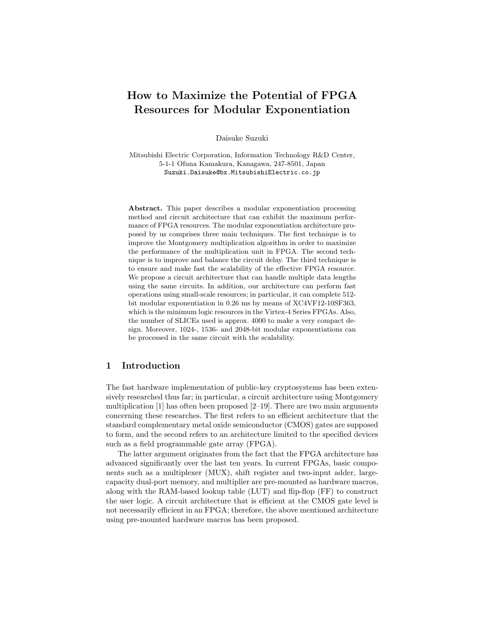# **How to Maximize the Potential of FPGA Resources for Modular Exponentiation**

Daisuke Suzuki

Mitsubishi Electric Corporation, Information Technology R&D Center, 5-1-1 Ofuna Kamakura, Kanagawa, 247-8501, Japan Suzuki.Daisuke@bx.MitsubishiElectric.co.jp

**Abstract.** This paper describes a modular exponentiation processing method and circuit architecture that can exhibit the maximum performance of FPGA resources. The modular exponentiation architecture proposed by us comprises three main techniques. The first technique is to improve the Montgomery multiplication algorithm in order to maximize the performance of the multiplication unit in FPGA. The second technique is to improve and balance the circuit delay. The third technique is to ensure and make fast the scalability of the effective FPGA resource. We propose a circuit architecture that can handle multiple data lengths using the same circuits. In addition, our architecture can perform fast operations using small-scale resources; in particular, it can complete 512 bit modular exponentiation in 0.26 ms by means of XC4VF12-10SF363, which is the minimum logic resources in the Virtex-4 Series FPGAs. Also, the number of SLICEs used is approx. 4000 to make a very compact design. Moreover, 1024-, 1536- and 2048-bit modular exponentiations can be processed in the same circuit with the scalability.

## **1 Introduction**

The fast hardware implementation of public-key cryptosystems has been extensively researched thus far; in particular, a circuit architecture using Montgomery multiplication [1] has often been proposed [2–19]. There are two main arguments concerning these researches. The first refers to an efficient architecture that the standard complementary metal oxide semiconductor (CMOS) gates are supposed to form, and the second refers to an architecture limited to the specified devices such as a field programmable gate array (FPGA).

The latter argument originates from the fact that the FPGA architecture has advanced significantly over the last ten years. In current FPGAs, basic components such as a multiplexer (MUX), shift register and two-input adder, largecapacity dual-port memory, and multiplier are pre-mounted as hardware macros, along with the RAM-based lookup table (LUT) and flip-flop (FF) to construct the user logic. A circuit architecture that is efficient at the CMOS gate level is not necessarily efficient in an FPGA; therefore, the above mentioned architecture using pre-mounted hardware macros has been proposed.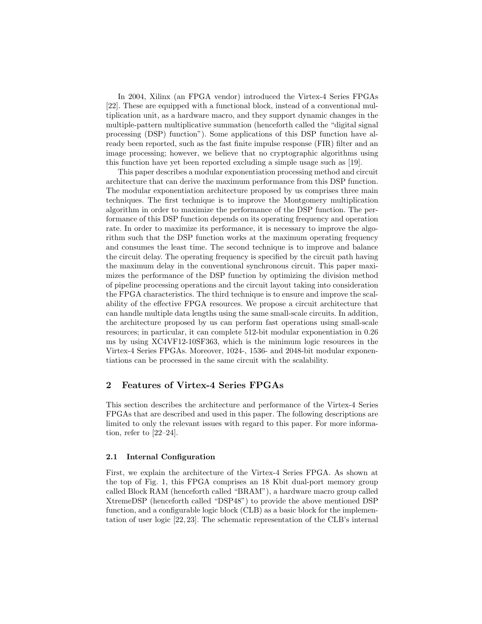In 2004, Xilinx (an FPGA vendor) introduced the Virtex-4 Series FPGAs [22]. These are equipped with a functional block, instead of a conventional multiplication unit, as a hardware macro, and they support dynamic changes in the multiple-pattern multiplicative summation (henceforth called the "digital signal processing (DSP) function"). Some applications of this DSP function have already been reported, such as the fast finite impulse response (FIR) filter and an image processing; however, we believe that no cryptographic algorithms using this function have yet been reported excluding a simple usage such as [19].

This paper describes a modular exponentiation processing method and circuit architecture that can derive the maximum performance from this DSP function. The modular exponentiation architecture proposed by us comprises three main techniques. The first technique is to improve the Montgomery multiplication algorithm in order to maximize the performance of the DSP function. The performance of this DSP function depends on its operating frequency and operation rate. In order to maximize its performance, it is necessary to improve the algorithm such that the DSP function works at the maximum operating frequency and consumes the least time. The second technique is to improve and balance the circuit delay. The operating frequency is specified by the circuit path having the maximum delay in the conventional synchronous circuit. This paper maximizes the performance of the DSP function by optimizing the division method of pipeline processing operations and the circuit layout taking into consideration the FPGA characteristics. The third technique is to ensure and improve the scalability of the effective FPGA resources. We propose a circuit architecture that can handle multiple data lengths using the same small-scale circuits. In addition, the architecture proposed by us can perform fast operations using small-scale resources; in particular, it can complete 512-bit modular exponentiation in 0.26 ms by using XC4VF12-10SF363, which is the minimum logic resources in the Virtex-4 Series FPGAs. Moreover, 1024-, 1536- and 2048-bit modular exponentiations can be processed in the same circuit with the scalability.

# **2 Features of Virtex-4 Series FPGAs**

This section describes the architecture and performance of the Virtex-4 Series FPGAs that are described and used in this paper. The following descriptions are limited to only the relevant issues with regard to this paper. For more information, refer to [22–24].

#### **2.1 Internal Configuration**

First, we explain the architecture of the Virtex-4 Series FPGA. As shown at the top of Fig. 1, this FPGA comprises an 18 Kbit dual-port memory group called Block RAM (henceforth called "BRAM"), a hardware macro group called XtremeDSP (henceforth called "DSP48") to provide the above mentioned DSP function, and a configurable logic block (CLB) as a basic block for the implementation of user logic [22, 23]. The schematic representation of the CLB's internal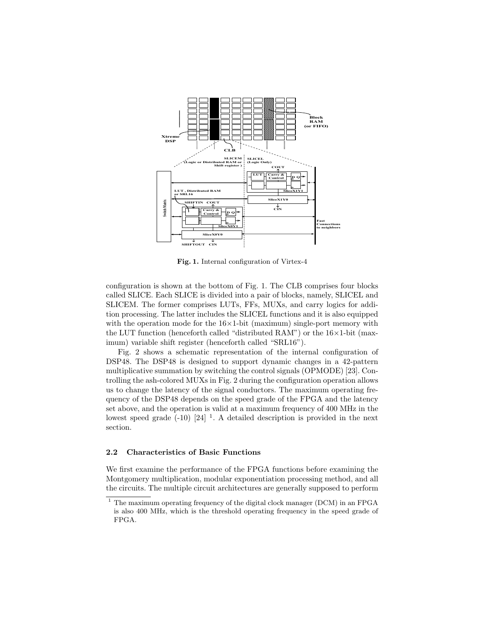

**Fig. 1.** Internal configuration of Virtex-4

configuration is shown at the bottom of Fig. 1. The CLB comprises four blocks called SLICE. Each SLICE is divided into a pair of blocks, namely, SLICEL and SLICEM. The former comprises LUTs, FFs, MUXs, and carry logics for addition processing. The latter includes the SLICEL functions and it is also equipped with the operation mode for the  $16\times1$ -bit (maximum) single-port memory with the LUT function (henceforth called "distributed RAM") or the 16*×*1-bit (maximum) variable shift register (henceforth called "SRL16").

Fig. 2 shows a schematic representation of the internal configuration of DSP48. The DSP48 is designed to support dynamic changes in a 42-pattern multiplicative summation by switching the control signals (OPMODE) [23]. Controlling the ash-colored MUXs in Fig. 2 during the configuration operation allows us to change the latency of the signal conductors. The maximum operating frequency of the DSP48 depends on the speed grade of the FPGA and the latency set above, and the operation is valid at a maximum frequency of 400 MHz in the lowest speed grade  $(-10)$   $[24]$ <sup>1</sup>. A detailed description is provided in the next section.

#### **2.2 Characteristics of Basic Functions**

We first examine the performance of the FPGA functions before examining the Montgomery multiplication, modular exponentiation processing method, and all the circuits. The multiple circuit architectures are generally supposed to perform

 $^{\rm 1}$  The maximum operating frequency of the digital clock manager (DCM) in an FPGA is also 400 MHz, which is the threshold operating frequency in the speed grade of FPGA.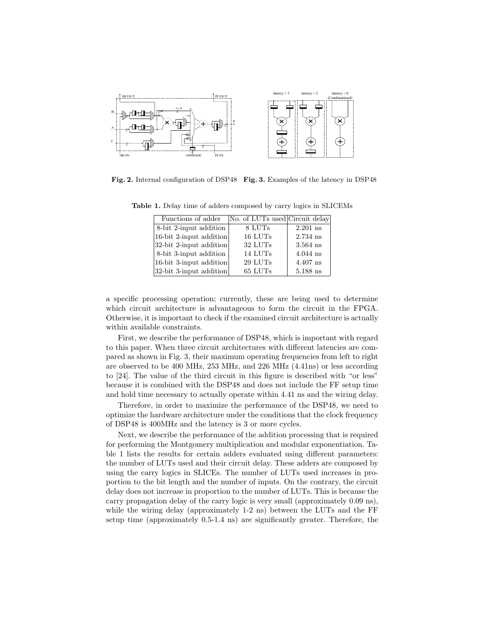

**Fig. 2.** Internal configuration of DSP48 **Fig. 3.** Examples of the latency in DSP48

| Functions of adder      | No. of LUTs used Circuit delay |            |
|-------------------------|--------------------------------|------------|
| 8-bit 2-input addition  | 8 LUTs                         | $2.201$ ns |
| 16-bit 2-input addition | 16 LUTs                        | $2.734$ ns |
| 32-bit 2-input addition | $32$ LUTs $\,$                 | $3.564$ ns |
| 8-bit 3-input addition  | 14 LUTs                        | $4.044$ ns |
| 16-bit 3-input addition | 29 LUTs                        | $4.407$ ns |
| 32-bit 3-input addition | 65 LUTs                        | $5.188$ ns |
|                         |                                |            |

**Table 1.** Delay time of adders composed by carry logics in SLICEMs

a specific processing operation; currently, these are being used to determine which circuit architecture is advantageous to form the circuit in the FPGA. Otherwise, it is important to check if the examined circuit architecture is actually within available constraints.

First, we describe the performance of DSP48, which is important with regard to this paper. When three circuit architectures with different latencies are compared as shown in Fig. 3, their maximum operating frequencies from left to right are observed to be 400 MHz, 253 MHz, and 226 MHz (4.41ns) or less according to [24]. The value of the third circuit in this figure is described with "or less" because it is combined with the DSP48 and does not include the FF setup time and hold time necessary to actually operate within 4.41 ns and the wiring delay.

Therefore, in order to maximize the performance of the DSP48, we need to optimize the hardware architecture under the conditions that the clock frequency of DSP48 is 400MHz and the latency is 3 or more cycles.

Next, we describe the performance of the addition processing that is required for performing the Montgomery multiplication and modular exponentiation. Table 1 lists the results for certain adders evaluated using different parameters: the number of LUTs used and their circuit delay. These adders are composed by using the carry logics in SLICEs. The number of LUTs used increases in proportion to the bit length and the number of inputs. On the contrary, the circuit delay does not increase in proportion to the number of LUTs. This is because the carry propagation delay of the carry logic is very small (approximately 0.09 ns), while the wiring delay (approximately 1-2 ns) between the LUTs and the FF setup time (approximately 0.5-1.4 ns) are significantly greater. Therefore, the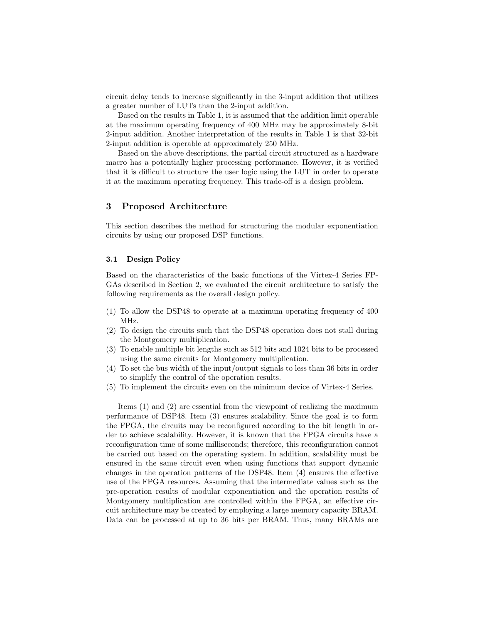circuit delay tends to increase significantly in the 3-input addition that utilizes a greater number of LUTs than the 2-input addition.

Based on the results in Table 1, it is assumed that the addition limit operable at the maximum operating frequency of 400 MHz may be approximately 8-bit 2-input addition. Another interpretation of the results in Table 1 is that 32-bit 2-input addition is operable at approximately 250 MHz.

Based on the above descriptions, the partial circuit structured as a hardware macro has a potentially higher processing performance. However, it is verified that it is difficult to structure the user logic using the LUT in order to operate it at the maximum operating frequency. This trade-off is a design problem.

# **3 Proposed Architecture**

This section describes the method for structuring the modular exponentiation circuits by using our proposed DSP functions.

#### **3.1 Design Policy**

Based on the characteristics of the basic functions of the Virtex-4 Series FP-GAs described in Section 2, we evaluated the circuit architecture to satisfy the following requirements as the overall design policy.

- (1) To allow the DSP48 to operate at a maximum operating frequency of 400 MHz.
- (2) To design the circuits such that the DSP48 operation does not stall during the Montgomery multiplication.
- (3) To enable multiple bit lengths such as 512 bits and 1024 bits to be processed using the same circuits for Montgomery multiplication.
- (4) To set the bus width of the input/output signals to less than 36 bits in order to simplify the control of the operation results.
- (5) To implement the circuits even on the minimum device of Virtex-4 Series.

Items (1) and (2) are essential from the viewpoint of realizing the maximum performance of DSP48. Item (3) ensures scalability. Since the goal is to form the FPGA, the circuits may be reconfigured according to the bit length in order to achieve scalability. However, it is known that the FPGA circuits have a reconfiguration time of some milliseconds; therefore, this reconfiguration cannot be carried out based on the operating system. In addition, scalability must be ensured in the same circuit even when using functions that support dynamic changes in the operation patterns of the DSP48. Item (4) ensures the effective use of the FPGA resources. Assuming that the intermediate values such as the pre-operation results of modular exponentiation and the operation results of Montgomery multiplication are controlled within the FPGA, an effective circuit architecture may be created by employing a large memory capacity BRAM. Data can be processed at up to 36 bits per BRAM. Thus, many BRAMs are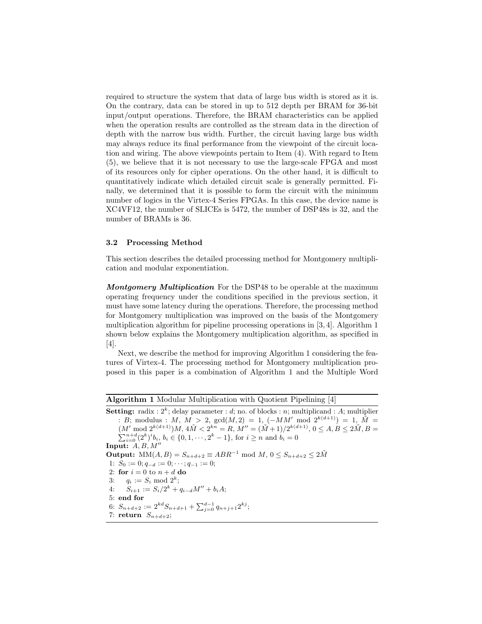required to structure the system that data of large bus width is stored as it is. On the contrary, data can be stored in up to 512 depth per BRAM for 36-bit input/output operations. Therefore, the BRAM characteristics can be applied when the operation results are controlled as the stream data in the direction of depth with the narrow bus width. Further, the circuit having large bus width may always reduce its final performance from the viewpoint of the circuit location and wiring. The above viewpoints pertain to Item (4). With regard to Item (5), we believe that it is not necessary to use the large-scale FPGA and most of its resources only for cipher operations. On the other hand, it is difficult to quantitatively indicate which detailed circuit scale is generally permitted. Finally, we determined that it is possible to form the circuit with the minimum number of logics in the Virtex-4 Series FPGAs. In this case, the device name is XC4VF12, the number of SLICEs is 5472, the number of DSP48s is 32, and the number of BRAMs is 36.

#### **3.2 Processing Method**

This section describes the detailed processing method for Montgomery multiplication and modular exponentiation.

*Montgomery Multiplication* For the DSP48 to be operable at the maximum operating frequency under the conditions specified in the previous section, it must have some latency during the operations. Therefore, the processing method for Montgomery multiplication was improved on the basis of the Montgomery multiplication algorithm for pipeline processing operations in [3, 4]. Algorithm 1 shown below explains the Montgomery multiplication algorithm, as specified in [4].

Next, we describe the method for improving Algorithm 1 considering the features of Virtex-4. The processing method for Montgomery multiplication proposed in this paper is a combination of Algorithm 1 and the Multiple Word

**Algorithm 1** Modular Multiplication with Quotient Pipelining [4]

**Setting:** radix :  $2^k$ ; delay parameter : *d*; no. of blocks : *n*; multiplicand : *A*; multiplier : *B*; modulus : *M*,  $M > 2$ , gcd $(M, 2) = 1$ ,  $(-MM' \mod 2^{k(d+1)}) = 1$ ,  $\tilde{M} =$  $(M' \text{ mod } 2^{k(d+1)})M$ ,  $4\tilde{M} < 2^{k\tilde{n}} = R$ ,  $M'' = (\tilde{M}+1)/2^{k(d+1)}$ ,  $0 \le A, B \le 2\tilde{M}, B = \sum_{i=0}^{n+d} (2^k)^i b_i, b_i \in \{0, 1, \dots, 2^k - 1\}$ , for  $i \ge n$  and  $b_i = 0$ **Input:** *A, B, M′′* **Output:**  $MM(A, B) = S_{n+d+2} ≡ ABR^{-1} \mod M$ ,  $0 ≤ S_{n+d+2} ≤ 2\tilde{M}$ 1:  $S_0 := 0; q_{-d} := 0; \dots; q_{-1} := 0;$ 2: **for**  $i = 0$  to  $n + d$  **do** 3:  $q_i := S_i \mod 2^k;$ 4:  $S_{i+1} := S_i/2^k + q_{i-d}M'' + b_iA;$ 5: **end for** 6:  $S_{n+d+2} := 2^{kd}S_{n+d+1} + \sum_{j=0}^{d-1} q_{n+j+1} 2^{kj}$ ; 7: **return**  $S_{n+d+2}$ ;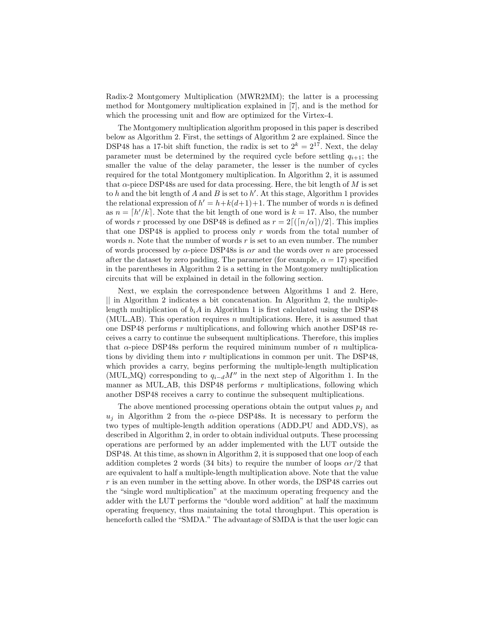Radix-2 Montgomery Multiplication (MWR2MM); the latter is a processing method for Montgomery multiplication explained in [7], and is the method for which the processing unit and flow are optimized for the Virtex-4.

The Montgomery multiplication algorithm proposed in this paper is described below as Algorithm 2. First, the settings of Algorithm 2 are explained. Since the DSP48 has a 17-bit shift function, the radix is set to  $2^k = 2^{17}$ . Next, the delay parameter must be determined by the required cycle before settling  $q_{i+1}$ ; the smaller the value of the delay parameter, the lesser is the number of cycles required for the total Montgomery multiplication. In Algorithm 2, it is assumed that *α*-piece DSP48s are used for data processing. Here, the bit length of *M* is set to *h* and the bit length of *A* and *B* is set to *h ′* . At this stage, Algorithm 1 provides the relational expression of  $h' = h + k(d+1) + 1$ . The number of words *n* is defined as  $n = \lfloor h'/k \rfloor$ . Note that the bit length of one word is  $k = 17$ . Also, the number of words *r* processed by one DSP48 is defined as  $r = 2\lceil \frac{\lceil \frac{n}{\alpha} \rceil}{2} \rceil$ . This implies that one DSP48 is applied to process only *r* words from the total number of words *n*. Note that the number of words *r* is set to an even number. The number of words processed by *α*-piece DSP48s is *αr* and the words over *n* are processed after the dataset by zero padding. The parameter (for example,  $\alpha = 17$ ) specified in the parentheses in Algorithm 2 is a setting in the Montgomery multiplication circuits that will be explained in detail in the following section.

Next, we explain the correspondence between Algorithms 1 and 2. Here, *||* in Algorithm 2 indicates a bit concatenation. In Algorithm 2, the multiplelength multiplication of  $b_iA$  in Algorithm 1 is first calculated using the DSP48 (MUL AB). This operation requires *n* multiplications. Here, it is assumed that one DSP48 performs *r* multiplications, and following which another DSP48 receives a carry to continue the subsequent multiplications. Therefore, this implies that *α*-piece DSP48s perform the required minimum number of *n* multiplications by dividing them into *r* multiplications in common per unit. The DSP48, which provides a carry, begins performing the multiple-length multiplication (MUL MQ) corresponding to *q<sup>i</sup>−<sup>d</sup>M′′* in the next step of Algorithm 1. In the manner as MUL AB, this DSP48 performs *r* multiplications, following which another DSP48 receives a carry to continue the subsequent multiplications.

The above mentioned processing operations obtain the output values  $p_j$  and  $u_j$  in Algorithm 2 from the *α*-piece DSP48s. It is necessary to perform the two types of multiple-length addition operations (ADD PU and ADD VS), as described in Algorithm 2, in order to obtain individual outputs. These processing operations are performed by an adder implemented with the LUT outside the DSP48. At this time, as shown in Algorithm 2, it is supposed that one loop of each addition completes 2 words (34 bits) to require the number of loops *αr/*2 that are equivalent to half a multiple-length multiplication above. Note that the value *r* is an even number in the setting above. In other words, the DSP48 carries out the "single word multiplication" at the maximum operating frequency and the adder with the LUT performs the "double word addition" at half the maximum operating frequency, thus maintaining the total throughput. This operation is henceforth called the "SMDA." The advantage of SMDA is that the user logic can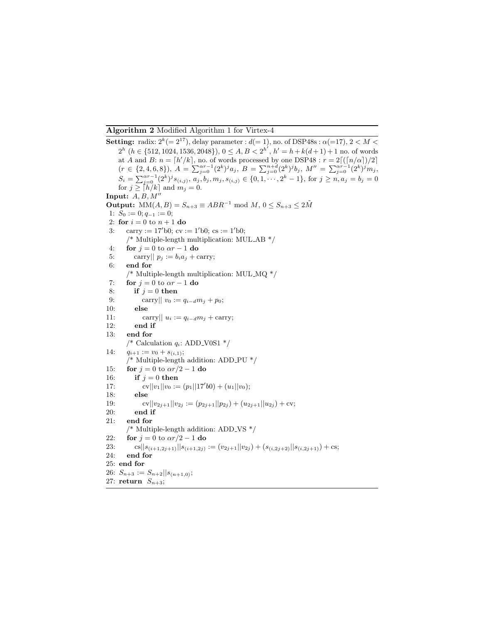#### **Algorithm 2** Modified Algorithm 1 for Virtex-4

**Setting:** radix:  $2^{k} (= 2^{17})$ , delay parameter :  $d(= 1)$ , no. of DSP48s :  $\alpha (=17)$ ,  $2 < M <$  $2^{h}$  ( $h \in \{512, 1024, 1536, 2048\}$ ),  $0 \leq A, B < 2^{h'}, h' = h + k(d+1) + 1$  no. of words at *A* and *B*:  $n = \frac{h'}{k}$ , no. of words processed by one DSP48 :  $r = 2\left[\frac{(\lceil n/\alpha \rceil)}{2}\right]$  $(r \in \{2,4,6,8\}), A = \sum_{j=0}^{n} (2^k)^j a_j, B = \sum_{j=0}^{n+d} (2^k)^j b_j, M'' = \sum_{j=0}^{n-1} (2^k)^j m_j,$  $S_i = \sum_{j=0}^{\alpha r-1} (2^k)^j s_{(i,j)}, a_j, b_j, m_j, s_{(i,j)} \in \{0, 1, \cdots, 2^k - 1\},$  for  $j \ge n, a_j = b_j = 0$ for  $j \geq \lceil h/k \rceil$  and  $m_j = 0$ . **Input:** *A, B, M′′* **Output:** MM(*A, B*) =  $S_{n+3}$  ≡  $ABR^{-1}$  mod  $M$ ,  $0 ≤ S_{n+3} ≤ 2\tilde{M}$ 1:  $S_0 := 0; q_{-1} := 0;$ 2: **for**  $i = 0$  to  $n + 1$  **do** 3: carry :=  $17′b0$ ; cv :=  $1′b0$ ; cs :=  $1′b0$ ; /\* Multiple-length multiplication: MUL AB \*/ 4: **for**  $j = 0$  to  $\alpha r - 1$  **do** 5: carry $|| p_j := b_i a_j +$ carry; 6: **end for**  $/*$  Multiple-length multiplication: MUL\_MQ  $*/$ 7: **for**  $j = 0$  to  $\alpha r - 1$  **do** 8: **if**  $j = 0$  **then** 9: carry $|| v_0 := q_{i-d} m_j + p_0;$ <br>10: **else** 10: **else** 11: carry $||u_i| := q_{i-d}m_j + \text{carry};$ <br>12: **end if** end if 13: **end for** /\* Calculation  $q_i$ : ADD\_V0S1  $*/$ 14:  $q_{i+1} := v_0 + s_{(i,1)};$  $/*$  Multiple-length addition: ADD\_PU  $*/$ 15: **for**  $j = 0$  to  $\alpha r/2 - 1$  **do** 16: **if**  $j = 0$  **then** 17:  $cv||v_1||v_0 := (p_1||17'b0) + (u_1||v_0);$ 18: **else** 19:  $cv||v_{2j+1}||v_{2j} := (p_{2j+1}||p_{2j}) + (u_{2j+1}||u_{2j}) + cv;$ 20: **end if** 21: **end for**  $/*$  Multiple-length addition: ADD\_VS  $*/$ 22: **for**  $j = 0$  to  $\alpha r/2 - 1$  **do** 23:  $\text{cs}||s_{(i+1,2j+1)}||s_{(i+1,2j)} := (v_{2j+1}||v_{2j}) + (s_{(i,2j+2)}||s_{(i,2j+1)}) + \text{cs};$ 24: **end for** 25: **end for** 26:  $S_{n+3} := S_{n+2} || s_{(n+1,0)};$ 27: **return** *S<sup>n</sup>*+3;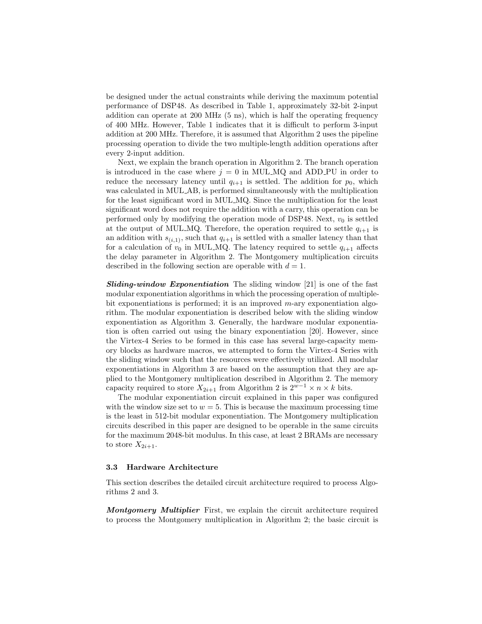be designed under the actual constraints while deriving the maximum potential performance of DSP48. As described in Table 1, approximately 32-bit 2-input addition can operate at 200 MHz (5 ns), which is half the operating frequency of 400 MHz. However, Table 1 indicates that it is difficult to perform 3-input addition at 200 MHz. Therefore, it is assumed that Algorithm 2 uses the pipeline processing operation to divide the two multiple-length addition operations after every 2-input addition.

Next, we explain the branch operation in Algorithm 2. The branch operation is introduced in the case where  $j = 0$  in MUL-MQ and ADD-PU in order to reduce the necessary latency until  $q_{i+1}$  is settled. The addition for  $p_0$ , which was calculated in MUL AB, is performed simultaneously with the multiplication for the least significant word in MUL MQ. Since the multiplication for the least significant word does not require the addition with a carry, this operation can be performed only by modifying the operation mode of DSP48. Next,  $v_0$  is settled at the output of MUL\_MQ. Therefore, the operation required to settle  $q_{i+1}$  is an addition with  $s_{(i,1)}$ , such that  $q_{i+1}$  is settled with a smaller latency than that for a calculation of  $v_0$  in MUL<sub>MQ</sub>. The latency required to settle  $q_{i+1}$  affects the delay parameter in Algorithm 2. The Montgomery multiplication circuits described in the following section are operable with  $d = 1$ .

*Sliding-window Exponentiation* The sliding window [21] is one of the fast modular exponentiation algorithms in which the processing operation of multiplebit exponentiations is performed; it is an improved *m*-ary exponentiation algorithm. The modular exponentiation is described below with the sliding window exponentiation as Algorithm 3. Generally, the hardware modular exponentiation is often carried out using the binary exponentiation [20]. However, since the Virtex-4 Series to be formed in this case has several large-capacity memory blocks as hardware macros, we attempted to form the Virtex-4 Series with the sliding window such that the resources were effectively utilized. All modular exponentiations in Algorithm 3 are based on the assumption that they are applied to the Montgomery multiplication described in Algorithm 2. The memory capacity required to store  $X_{2i+1}$  from Algorithm 2 is  $2^{w-1} \times n \times k$  bits.

The modular exponentiation circuit explained in this paper was configured with the window size set to  $w = 5$ . This is because the maximum processing time is the least in 512-bit modular exponentiation. The Montgomery multiplication circuits described in this paper are designed to be operable in the same circuits for the maximum 2048-bit modulus. In this case, at least 2 BRAMs are necessary to store  $X_{2i+1}$ .

#### **3.3 Hardware Architecture**

This section describes the detailed circuit architecture required to process Algorithms 2 and 3.

*Montgomery Multiplier* First, we explain the circuit architecture required to process the Montgomery multiplication in Algorithm 2; the basic circuit is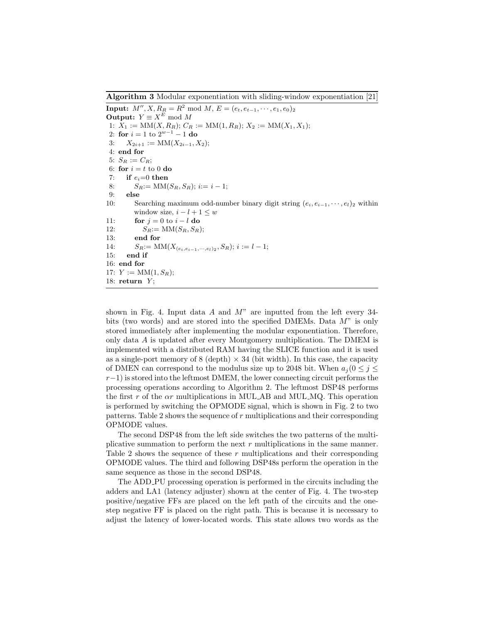**Algorithm 3** Modular exponentiation with sliding-window exponentiation [21]

**Input:**  $M''$ ,  $X$ ,  $R_R = R^2 \mod M$ ,  $E = (e_t, e_{t-1}, \dots, e_1, e_0)_2$ **Output:**  $Y \equiv X^E \mod M$ 1:  $X_1 := MM(X, R_R); C_R := MM(1, R_R); X_2 := MM(X_1, X_1);$ 2: **for**  $i = 1$  to  $2^{w-1} - 1$  **do** 3:  $X_{2i+1} := MM(X_{2i-1}, X_2);$ 4: **end for** 5:  $S_R := C_R$ ; 6: **for**  $i = t$  to 0 **do** 7: **if** *ei*=0 **then** 8:  $S_R := \text{MM}(S_R, S_R); i := i - 1;$ 9: **else** 10: Searching maximum odd-number binary digit string  $(e_i, e_{i-1}, \dots, e_l)_2$  within window size,  $i - l + 1 \leq w$ 11: **for**  $j = 0$  to  $i - l$  **do** 12:  $S_R := \text{MM}(S_R, S_R);$ 13: **end for** 14:  $S_R := \text{MM}(X_{(e_i, e_{i-1}, \dots, e_l)_2}, S_R); i := l - 1;$ 15: **end if** 16: **end for** 17:  $Y := MM(1, S_R);$ 18: **return** *Y* ;

shown in Fig. 4. Input data *A* and *M*" are inputted from the left every 34 bits (two words) and are stored into the specified DMEMs. Data *M*" is only stored immediately after implementing the modular exponentiation. Therefore, only data *A* is updated after every Montgomery multiplication. The DMEM is implemented with a distributed RAM having the SLICE function and it is used as a single-port memory of  $8$  (depth)  $\times$  34 (bit width). In this case, the capacity of DMEN can correspond to the modulus size up to 2048 bit. When  $a_j$  ( $0 \leq j \leq$ *r*<sup>−1</sup>) is stored into the leftmost DMEM, the lower connecting circuit performs the processing operations according to Algorithm 2. The leftmost DSP48 performs the first *r* of the *αr* multiplications in MUL AB and MUL MQ. This operation is performed by switching the OPMODE signal, which is shown in Fig. 2 to two patterns. Table 2 shows the sequence of *r* multiplications and their corresponding OPMODE values.

The second DSP48 from the left side switches the two patterns of the multiplicative summation to perform the next *r* multiplications in the same manner. Table 2 shows the sequence of these *r* multiplications and their corresponding OPMODE values. The third and following DSP48s perform the operation in the same sequence as those in the second DSP48.

The ADD PU processing operation is performed in the circuits including the adders and LA1 (latency adjuster) shown at the center of Fig. 4. The two-step positive/negative FFs are placed on the left path of the circuits and the onestep negative FF is placed on the right path. This is because it is necessary to adjust the latency of lower-located words. This state allows two words as the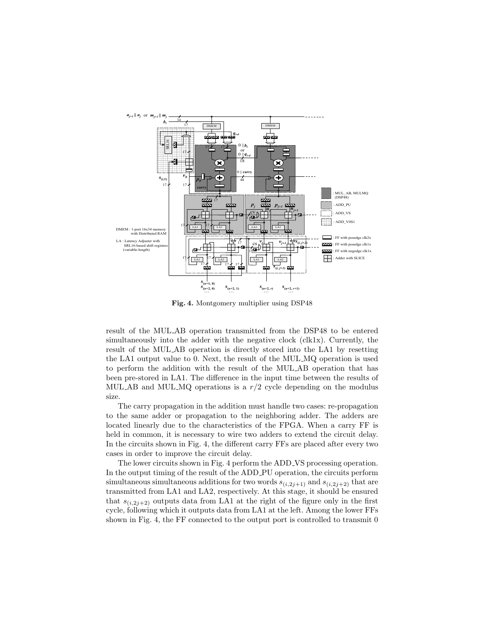

**Fig. 4.** Montgomery multiplier using DSP48

result of the MUL AB operation transmitted from the DSP48 to be entered simultaneously into the adder with the negative clock (clk1x). Currently, the result of the MUL AB operation is directly stored into the LA1 by resetting the LA1 output value to 0. Next, the result of the MUL MQ operation is used to perform the addition with the result of the MUL AB operation that has been pre-stored in LA1. The difference in the input time between the results of MUL AB and MUL MQ operations is a *r/*2 cycle depending on the modulus size.

The carry propagation in the addition must handle two cases: re-propagation to the same adder or propagation to the neighboring adder. The adders are located linearly due to the characteristics of the FPGA. When a carry FF is held in common, it is necessary to wire two adders to extend the circuit delay. In the circuits shown in Fig. 4, the different carry FFs are placed after every two cases in order to improve the circuit delay.

The lower circuits shown in Fig. 4 perform the ADD VS processing operation. In the output timing of the result of the ADD PU operation, the circuits perform simultaneous simultaneous additions for two words  $s_{(i,2j+1)}$  and  $s_{(i,2j+2)}$  that are transmitted from LA1 and LA2, respectively. At this stage, it should be ensured that  $s_{(i,2i+2)}$  outputs data from LA1 at the right of the figure only in the first cycle, following which it outputs data from LA1 at the left. Among the lower FFs shown in Fig. 4, the FF connected to the output port is controlled to transmit 0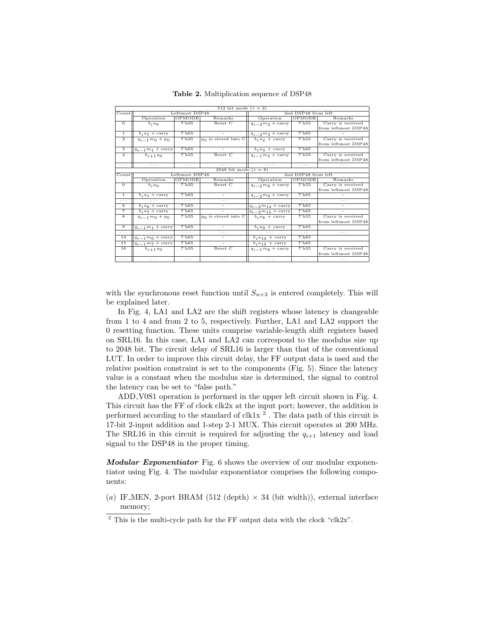| 512 bit mode $(r=2)$      |                                                       |                |                        |                             |                 |                     |  |
|---------------------------|-------------------------------------------------------|----------------|------------------------|-----------------------------|-----------------|---------------------|--|
| $\overline{\text{Count}}$ | Leftmost DSP48                                        |                | 2nd DSP48 from left    |                             |                 |                     |  |
|                           | Operation                                             | OPMODE         | Remarks                | Operation                   | <b>OPMODE</b>   | Remarks             |  |
| $\overline{0}$            | $b_i a_0$                                             | $7'$ h35       | Reset C                | $q_{i-2}m_2 +$ carry        | 7'h55           | Carry is received   |  |
|                           |                                                       |                |                        |                             |                 | from leftmost DSP48 |  |
| 1                         | $b_ia_1 +$ carry                                      | 7'h65          |                        | $q_{i-2}m_3 +$ carry        | 7'h65           |                     |  |
| $\overline{2}$            | $q_{i-1}m_0 + p_0$                                    | $7'$ h35       | $p_0$ is stored into C | $b_i a_2 + \text{carry}$    | 7'h55           | Carry is received   |  |
|                           |                                                       |                |                        |                             |                 | from leftmost DSP48 |  |
| $\overline{\mathbf{3}}$   | $\boldsymbol{q}_{i-1}\boldsymbol{m}_1$ + carry        | 7'h65          |                        | $b_i a_3 +$ carry           | 7'h65           |                     |  |
| $\overline{4}$            | $\overline{b_{i+1}}$ <sup><i>a</i></sup> <sup>0</sup> | $7'$ h35       | Reset C                | $\sqrt{q_{i-1}m_2}$ + carry | 7'h55           | Carry is received   |  |
|                           |                                                       |                |                        |                             |                 | from leftmost DSP48 |  |
| $\ldots$ .                | $\cdots$                                              | $\cdots$       | $\cdots$               | $\cdots$                    | $\cdots$        | $\cdots$            |  |
| 2048 bit mode $(r=8)$     |                                                       |                |                        |                             |                 |                     |  |
| Count                     |                                                       | Leftmost DSP48 |                        | 2nd DSP48 from left         |                 |                     |  |
|                           | Operation                                             | OPMODE         | Remarks                | Operation                   | <b>OPMODE</b>   | Remarks             |  |
| $\overline{0}$            | $b_i a_0$                                             | $7'$ h35       | Reset C                | $q_{i-2}m_8 + \text{carry}$ | $7^{\prime}h55$ | Carry is received   |  |
|                           |                                                       |                |                        |                             |                 | from leftmost DSP48 |  |
| $\overline{1}$            | $b_i a_1 + \text{carry}$                              | 7'h65          |                        | $q_{i-2}m_9 + \text{carry}$ | 7'h65           |                     |  |
| .                         |                                                       | .              | .                      |                             | $\cdots$        | $\cdots$            |  |
| 6                         | $b_i a_6 +$ carry                                     | 7'h65          |                        | $q_{i-2}m_{14}$ + carry     | 7'h65           |                     |  |
| $\overline{7}$            | $b_i a_7 +$ carry                                     | 7'h65          | ä,                     | $ q_{i-2}m_{15} +$ carry    | 7'h65           | ÷.                  |  |
| $\overline{\mathbf{8}}$   | $q_{i-1}m_0 + p_0$                                    | $7'$ h35       | $p_0$ is stored into C | $b_i a_8 +$ carry           | $7'$ h55        | Carry is received   |  |
|                           |                                                       |                |                        |                             |                 | from leftmost DSP48 |  |
| 9                         | $q_{i-1}m_1 + \text{carry}$                           | 7'h65          | ٠                      | $b_i a_9 + carry$           | 7'h65           |                     |  |
| $\cdots$                  |                                                       | $\cdots$       | .                      |                             | $\cdots$        | $\cdots$            |  |
| 14                        | $q_{i-1}m_6 +$ carry                                  | 7'h65          | ٠                      | $b_1a_{14} + \text{carry}$  | 7'h65           |                     |  |
| 15                        | $q_{i-1}m_7+\text{carry}$                             | 7'h65          | ä,                     | $b_i a_{15} + \text{carry}$ | 7'h65           |                     |  |
| 16                        | $\overline{b}_{i+1}a_0$                               | $7'$ h35       | Reset C                | $q_{i-1}m_8 +$ carry        | $7'$ h55        | Carry is received   |  |
|                           |                                                       |                |                        |                             |                 | from leftmost DSP48 |  |
| $\sim$ $\sim$ $\sim$      | $\cdots$                                              | $\cdots$       | $\cdots$               | $\cdots$                    | $\cdots$        | .                   |  |

**Table 2.** Multiplication sequence of DSP48

with the synchronous reset function until  $S_{n+3}$  is entered completely. This will be explained later.

In Fig. 4, LA1 and LA2 are the shift registers whose latency is changeable from 1 to 4 and from 2 to 5, respectively. Further, LA1 and LA2 support the 0 resetting function. These units comprise variable-length shift registers based on SRL16. In this case, LA1 and LA2 can correspond to the modulus size up to 2048 bit. The circuit delay of SRL16 is larger than that of the conventional LUT. In order to improve this circuit delay, the FF output data is used and the relative position constraint is set to the components (Fig. 5). Since the latency value is a constant when the modulus size is determined, the signal to control the latency can be set to "false path."

ADD V0S1 operation is performed in the upper left circuit shown in Fig. 4. This circuit has the FF of clock clk2x at the input port; however, the addition is performed according to the standard of clk1x<sup>2</sup>. The data path of this circuit is 17-bit 2-input addition and 1-step 2-1 MUX. This circuit operates at 200 MHz. The SRL16 in this circuit is required for adjusting the  $q_{i+1}$  latency and load signal to the DSP48 in the proper timing.

*Modular Exponentiator* Fig. 6 shows the overview of our modular exponentiator using Fig. 4. The modular exponentiator comprises the following components:

- (*a*) IF MEN, 2-port BRAM (512 (depth) *×* 34 (bit width)), external interface memory;
- $2$  This is the multi-cycle path for the FF output data with the clock "clk2x".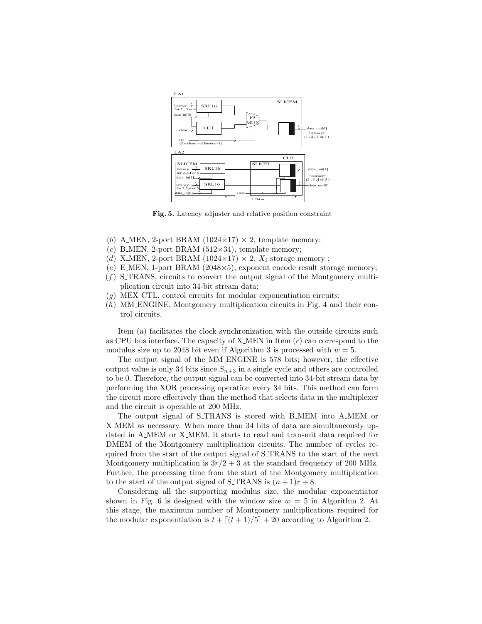

**Fig. 5.** Latency adjuster and relative position constraint

- (*b*) A\_MEN, 2-port BRAM  $(1024\times17) \times 2$ , template memory:
- (*c*) B\_MEN, 2-port BRAM  $(512\times34)$ , template memory;
- (*d*) X\_MEN, 2-port BRAM (1024×17)  $\times$  2,  $X_i$  storage memory;
- (*e*) E MEN, 1-port BRAM (2048*×*5), exponent encode result storage memory;
- $(f)$  S\_TRANS, circuits to convert the output signal of the Montgomery multiplication circuit into 34-bit stream data;
- (*g*) MEX CTL, control circuits for modular exponentiation circuits;
- (*h*) MM ENGINE, Montgomery multiplication circuits in Fig. 4 and their control circuits.

Item (a) facilitates the clock synchronization with the outside circuits such as CPU bus interface. The capacity of X MEN in Item (*c*) can correspond to the modulus size up to 2048 bit even if Algorithm 3 is processed with  $w = 5$ .

The output signal of the MM ENGINE is 578 bits; however, the effective output value is only 34 bits since  $S_{n+3}$  in a single cycle and others are controlled to be 0. Therefore, the output signal can be converted into 34-bit stream data by performing the XOR processing operation every 34 bits. This method can form the circuit more effectively than the method that selects data in the multiplexer and the circuit is operable at 200 MHz.

The output signal of STRANS is stored with B\_MEM into A\_MEM or X MEM as necessary. When more than 34 bits of data are simultaneously updated in A\_MEM or X\_MEM, it starts to read and transmit data required for DMEM of the Montgomery multiplication circuits. The number of cycles required from the start of the output signal of S\_TRANS to the start of the next Montgomery multiplication is  $3r/2 + 3$  at the standard frequency of 200 MHz. Further, the processing time from the start of the Montgomery multiplication to the start of the output signal of S\_TRANS is  $(n + 1)r + 8$ .

Considering all the supporting modulus size, the modular exponentiator shown in Fig. 6 is designed with the window size  $w = 5$  in Algorithm 2. At this stage, the maximum number of Montgomery multiplications required for the modular exponentiation is  $t + \lceil (t+1)/5 \rceil + 20$  according to Algorithm 2.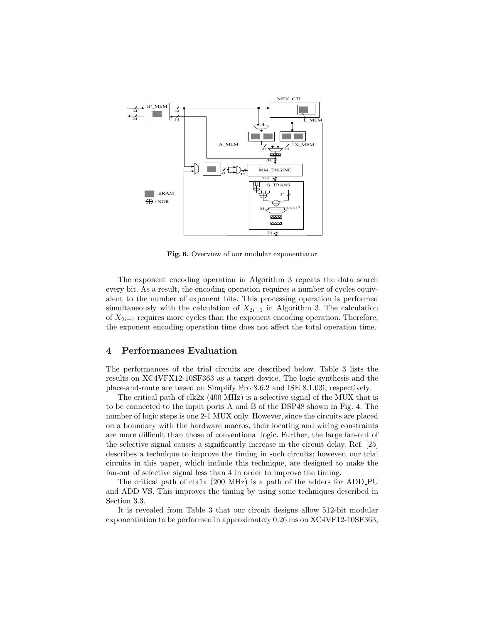

**Fig. 6.** Overview of our modular exponentiator

The exponent encoding operation in Algorithm 3 repeats the data search every bit. As a result, the encoding operation requires a number of cycles equivalent to the number of exponent bits. This processing operation is performed simultaneously with the calculation of  $X_{2i+1}$  in Algorithm 3. The calculation of  $X_{2i+1}$  requires more cycles than the exponent encoding operation. Therefore, the exponent encoding operation time does not affect the total operation time.

### **4 Performances Evaluation**

The performances of the trial circuits are described below. Table 3 lists the results on XC4VFX12-10SF363 as a target device. The logic synthesis and the place-and-route are based on Simplify Pro 8.6.2 and ISE 8.1.03i, respectively.

The critical path of clk2x (400 MHz) is a selective signal of the MUX that is to be connected to the input ports A and B of the DSP48 shown in Fig. 4. The number of logic steps is one 2-1 MUX only. However, since the circuits are placed on a boundary with the hardware macros, their locating and wiring constraints are more difficult than those of conventional logic. Further, the large fan-out of the selective signal causes a significantly increase in the circuit delay. Ref. [25] describes a technique to improve the timing in such circuits; however, our trial circuits in this paper, which include this technique, are designed to make the fan-out of selective signal less than 4 in order to improve the timing.

The critical path of clk1x (200 MHz) is a path of the adders for ADD PU and ADD VS. This improves the timing by using some techniques described in Section 3.3.

It is revealed from Table 3 that our circuit designs allow 512-bit modular exponentiation to be performed in approximately 0.26 ms on XC4VF12-10SF363,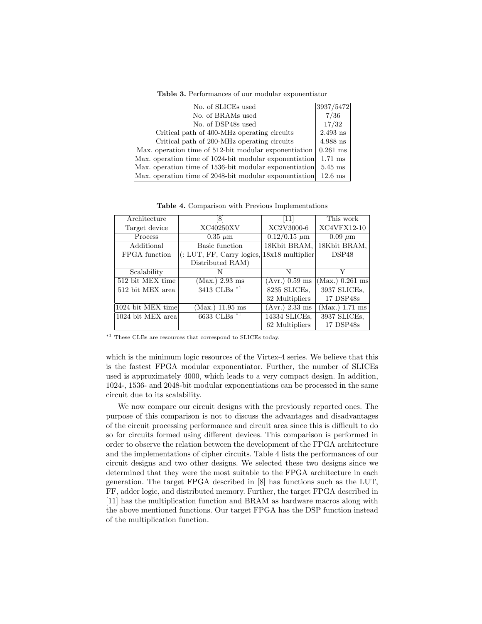**Table 3.** Performances of our modular exponentiator

| No. of SLICEs used                                     | 3937/5472         |
|--------------------------------------------------------|-------------------|
| No. of BRAMs used                                      | 7/36              |
| No. of DSP48s used                                     | 17/32             |
| Critical path of 400-MHz operating circuits            | $2.493$ ns        |
| Critical path of 200-MHz operating circuits            | 4.988 ns          |
| Max. operation time of 512-bit modular exponentiation  | $0.261$ ms        |
| Max. operation time of 1024-bit modular exponentiation | $1.71$ ms         |
| Max. operation time of 1536-bit modular exponentiation | $5.45$ ms         |
| Max. operation time of 2048-bit modular exponentiation | $12.6 \text{ ms}$ |
|                                                        |                   |

**Table 4.** Comparison with Previous Implementations

| Architecture      | [8]                                                | $[11]$            | This work         |
|-------------------|----------------------------------------------------|-------------------|-------------------|
| Target device     | XC40250XV                                          | XC2V3000-6        | $XC4VFX12-10$     |
| Process           | $0.35 \mu m$                                       | $0.12/0.15 \mu m$ | $0.09 \mu m$      |
| Additional        | Basic function                                     | 18Kbit BRAM,      | 18Kbit BRAM,      |
| FPGA function     | $\left($ : LUT, FF, Carry logics, 18x18 multiplier |                   | DSP <sub>48</sub> |
|                   | Distributed RAM)                                   |                   |                   |
| Scalability       | N                                                  | N                 |                   |
| 512 bit MEX time  | (Max.) 2.93 ms                                     | $(Avr.)$ 0.59 ms  | (Max.) 0.261 ms   |
| 512 bit MEX area  | $3413$ CLBs <sup><math>*1</math></sup>             | 8235 SLICEs.      | 3937 SLICEs.      |
|                   |                                                    | 32 Multipliers    | 17 DSP48s         |
| 1024 bit MEX time | (Max.) 11.95 ms                                    | (Avr.) 2.33 ms    | (Max.) 1.71 ms    |
| 1024 bit MEX area | 6633 CLBs $*1$                                     | 14334 SLICEs,     | 3937 SLICEs.      |
|                   |                                                    | 62 Multipliers    | 17 DSP48s         |

*<sup>∗</sup>*<sup>1</sup> These CLBs are resources that correspond to SLICEs today.

which is the minimum logic resources of the Virtex-4 series. We believe that this is the fastest FPGA modular exponentiator. Further, the number of SLICEs used is approximately 4000, which leads to a very compact design. In addition, 1024-, 1536- and 2048-bit modular exponentiations can be processed in the same circuit due to its scalability.

We now compare our circuit designs with the previously reported ones. The purpose of this comparison is not to discuss the advantages and disadvantages of the circuit processing performance and circuit area since this is difficult to do so for circuits formed using different devices. This comparison is performed in order to observe the relation between the development of the FPGA architecture and the implementations of cipher circuits. Table 4 lists the performances of our circuit designs and two other designs. We selected these two designs since we determined that they were the most suitable to the FPGA architecture in each generation. The target FPGA described in [8] has functions such as the LUT, FF, adder logic, and distributed memory. Further, the target FPGA described in [11] has the multiplication function and BRAM as hardware macros along with the above mentioned functions. Our target FPGA has the DSP function instead of the multiplication function.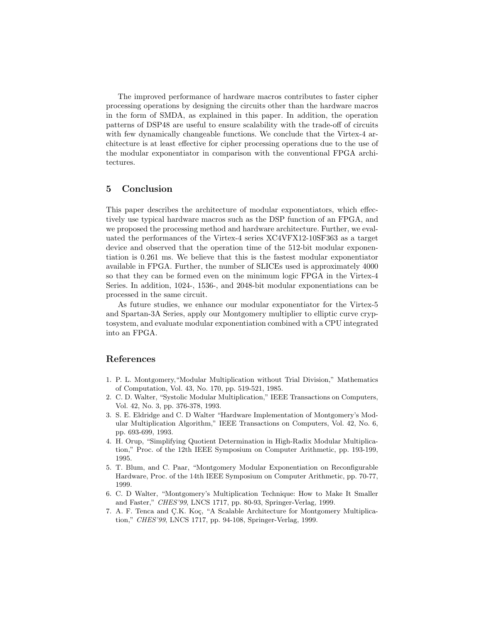The improved performance of hardware macros contributes to faster cipher processing operations by designing the circuits other than the hardware macros in the form of SMDA, as explained in this paper. In addition, the operation patterns of DSP48 are useful to ensure scalability with the trade-off of circuits with few dynamically changeable functions. We conclude that the Virtex-4 architecture is at least effective for cipher processing operations due to the use of the modular exponentiator in comparison with the conventional FPGA architectures.

## **5 Conclusion**

This paper describes the architecture of modular exponentiators, which effectively use typical hardware macros such as the DSP function of an FPGA, and we proposed the processing method and hardware architecture. Further, we evaluated the performances of the Virtex-4 series XC4VFX12-10SF363 as a target device and observed that the operation time of the 512-bit modular exponentiation is 0.261 ms. We believe that this is the fastest modular exponentiator available in FPGA. Further, the number of SLICEs used is approximately 4000 so that they can be formed even on the minimum logic FPGA in the Virtex-4 Series. In addition, 1024-, 1536-, and 2048-bit modular exponentiations can be processed in the same circuit.

As future studies, we enhance our modular exponentiator for the Virtex-5 and Spartan-3A Series, apply our Montgomery multiplier to elliptic curve cryptosystem, and evaluate modular exponentiation combined with a CPU integrated into an FPGA.

## **References**

- 1. P. L. Montgomery,"Modular Multiplication without Trial Division," Mathematics of Computation, Vol. 43, No. 170, pp. 519-521, 1985.
- 2. C. D. Walter, "Systolic Modular Multiplication," IEEE Transactions on Computers, Vol. 42, No. 3, pp. 376-378, 1993.
- 3. S. E. Eldridge and C. D Walter "Hardware Implementation of Montgomery's Modular Multiplication Algorithm," IEEE Transactions on Computers, Vol. 42, No. 6, pp. 693-699, 1993.
- 4. H. Orup, "Simplifying Quotient Determination in High-Radix Modular Multiplication," Proc. of the 12th IEEE Symposium on Computer Arithmetic, pp. 193-199, 1995.
- 5. T. Blum, and C. Paar, "Montgomery Modular Exponentiation on Reconfigurable Hardware, Proc. of the 14th IEEE Symposium on Computer Arithmetic, pp. 70-77, 1999.
- 6. C. D Walter, "Montgomery's Multiplication Technique: How to Make It Smaller and Faster," *CHES'99*, LNCS 1717, pp. 80-93, Springer-Verlag, 1999.
- 7. A. F. Tenca and Ç.K. Koç, "A Scalable Architecture for Montgomery Multiplication," *CHES'99*, LNCS 1717, pp. 94-108, Springer-Verlag, 1999.